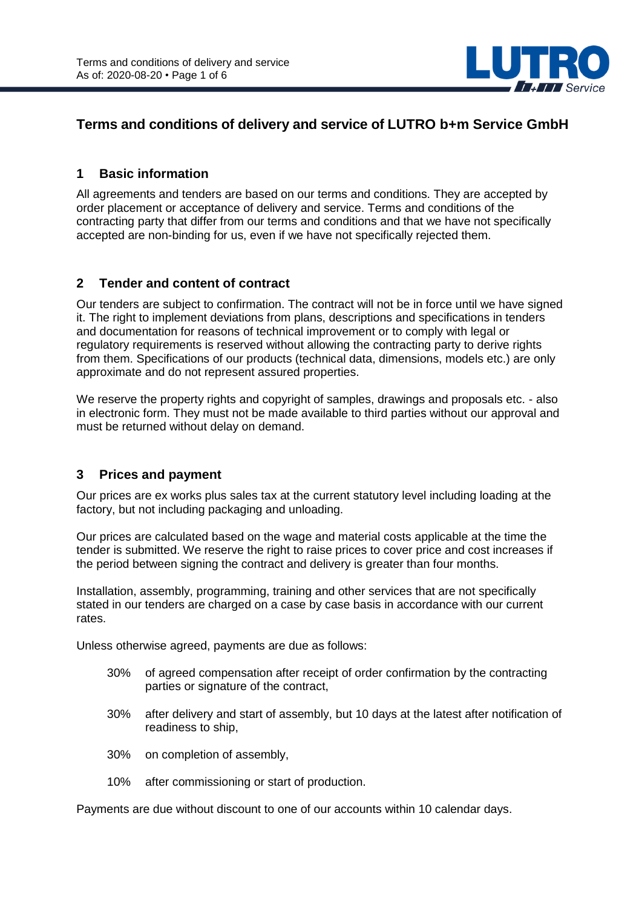

# **Terms and conditions of delivery and service of LUTRO b+m Service GmbH**

#### **1 Basic information**

All agreements and tenders are based on our terms and conditions. They are accepted by order placement or acceptance of delivery and service. Terms and conditions of the contracting party that differ from our terms and conditions and that we have not specifically accepted are non-binding for us, even if we have not specifically rejected them.

#### **2 Tender and content of contract**

Our tenders are subject to confirmation. The contract will not be in force until we have signed it. The right to implement deviations from plans, descriptions and specifications in tenders and documentation for reasons of technical improvement or to comply with legal or regulatory requirements is reserved without allowing the contracting party to derive rights from them. Specifications of our products (technical data, dimensions, models etc.) are only approximate and do not represent assured properties.

We reserve the property rights and copyright of samples, drawings and proposals etc. - also in electronic form. They must not be made available to third parties without our approval and must be returned without delay on demand.

### **3 Prices and payment**

Our prices are ex works plus sales tax at the current statutory level including loading at the factory, but not including packaging and unloading.

Our prices are calculated based on the wage and material costs applicable at the time the tender is submitted. We reserve the right to raise prices to cover price and cost increases if the period between signing the contract and delivery is greater than four months.

Installation, assembly, programming, training and other services that are not specifically stated in our tenders are charged on a case by case basis in accordance with our current rates.

Unless otherwise agreed, payments are due as follows:

- 30% of agreed compensation after receipt of order confirmation by the contracting parties or signature of the contract,
- 30% after delivery and start of assembly, but 10 days at the latest after notification of readiness to ship,
- 30% on completion of assembly,
- 10% after commissioning or start of production.

Payments are due without discount to one of our accounts within 10 calendar days.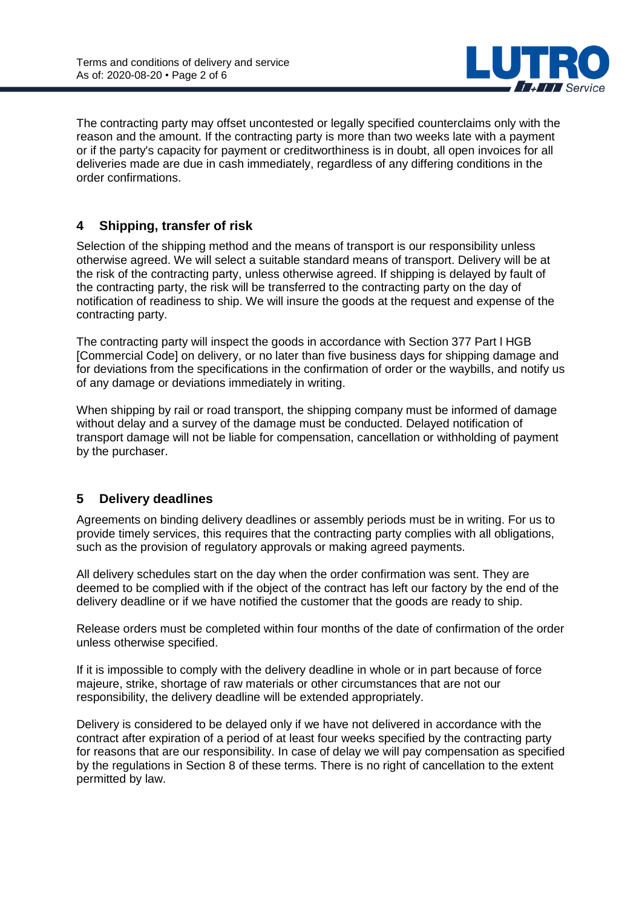

The contracting party may offset uncontested or legally specified counterclaims only with the reason and the amount. If the contracting party is more than two weeks late with a payment or if the party's capacity for payment or creditworthiness is in doubt, all open invoices for all deliveries made are due in cash immediately, regardless of any differing conditions in the order confirmations.

# **4 Shipping, transfer of risk**

Selection of the shipping method and the means of transport is our responsibility unless otherwise agreed. We will select a suitable standard means of transport. Delivery will be at the risk of the contracting party, unless otherwise agreed. If shipping is delayed by fault of the contracting party, the risk will be transferred to the contracting party on the day of notification of readiness to ship. We will insure the goods at the request and expense of the contracting party.

The contracting party will inspect the goods in accordance with Section 377 Part l HGB [Commercial Code] on delivery, or no later than five business days for shipping damage and for deviations from the specifications in the confirmation of order or the waybills, and notify us of any damage or deviations immediately in writing.

When shipping by rail or road transport, the shipping company must be informed of damage without delay and a survey of the damage must be conducted. Delayed notification of transport damage will not be liable for compensation, cancellation or withholding of payment by the purchaser.

### **5 Delivery deadlines**

Agreements on binding delivery deadlines or assembly periods must be in writing. For us to provide timely services, this requires that the contracting party complies with all obligations, such as the provision of regulatory approvals or making agreed payments.

All delivery schedules start on the day when the order confirmation was sent. They are deemed to be complied with if the object of the contract has left our factory by the end of the delivery deadline or if we have notified the customer that the goods are ready to ship.

Release orders must be completed within four months of the date of confirmation of the order unless otherwise specified.

If it is impossible to comply with the delivery deadline in whole or in part because of force majeure, strike, shortage of raw materials or other circumstances that are not our responsibility, the delivery deadline will be extended appropriately.

Delivery is considered to be delayed only if we have not delivered in accordance with the contract after expiration of a period of at least four weeks specified by the contracting party for reasons that are our responsibility. In case of delay we will pay compensation as specified by the regulations in Section 8 of these terms. There is no right of cancellation to the extent permitted by law.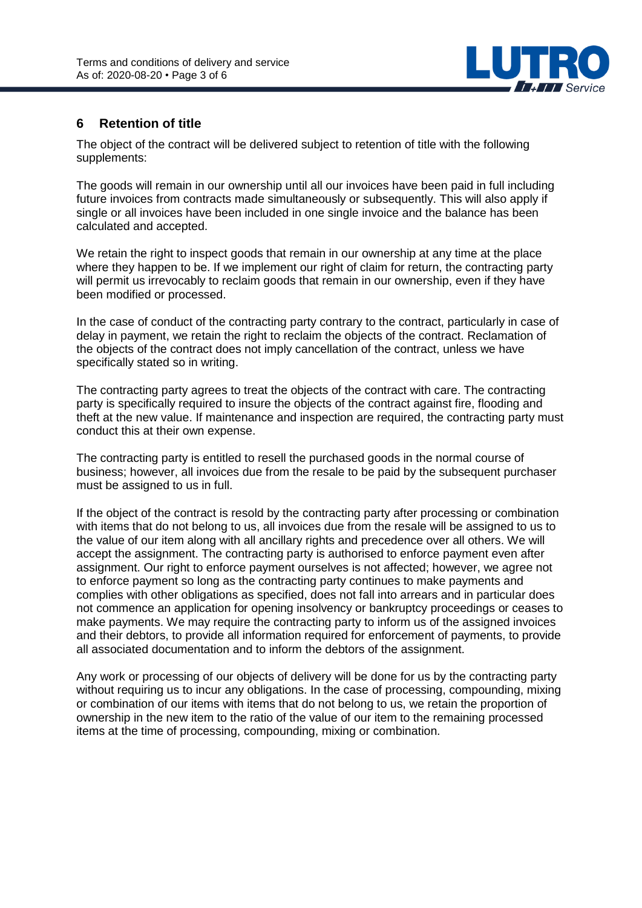

# **6 Retention of title**

The object of the contract will be delivered subject to retention of title with the following supplements:

The goods will remain in our ownership until all our invoices have been paid in full including future invoices from contracts made simultaneously or subsequently. This will also apply if single or all invoices have been included in one single invoice and the balance has been calculated and accepted.

We retain the right to inspect goods that remain in our ownership at any time at the place where they happen to be. If we implement our right of claim for return, the contracting party will permit us irrevocably to reclaim goods that remain in our ownership, even if they have been modified or processed.

In the case of conduct of the contracting party contrary to the contract, particularly in case of delay in payment, we retain the right to reclaim the objects of the contract. Reclamation of the objects of the contract does not imply cancellation of the contract, unless we have specifically stated so in writing.

The contracting party agrees to treat the objects of the contract with care. The contracting party is specifically required to insure the objects of the contract against fire, flooding and theft at the new value. If maintenance and inspection are required, the contracting party must conduct this at their own expense.

The contracting party is entitled to resell the purchased goods in the normal course of business; however, all invoices due from the resale to be paid by the subsequent purchaser must be assigned to us in full.

If the object of the contract is resold by the contracting party after processing or combination with items that do not belong to us, all invoices due from the resale will be assigned to us to the value of our item along with all ancillary rights and precedence over all others. We will accept the assignment. The contracting party is authorised to enforce payment even after assignment. Our right to enforce payment ourselves is not affected; however, we agree not to enforce payment so long as the contracting party continues to make payments and complies with other obligations as specified, does not fall into arrears and in particular does not commence an application for opening insolvency or bankruptcy proceedings or ceases to make payments. We may require the contracting party to inform us of the assigned invoices and their debtors, to provide all information required for enforcement of payments, to provide all associated documentation and to inform the debtors of the assignment.

Any work or processing of our objects of delivery will be done for us by the contracting party without requiring us to incur any obligations. In the case of processing, compounding, mixing or combination of our items with items that do not belong to us, we retain the proportion of ownership in the new item to the ratio of the value of our item to the remaining processed items at the time of processing, compounding, mixing or combination.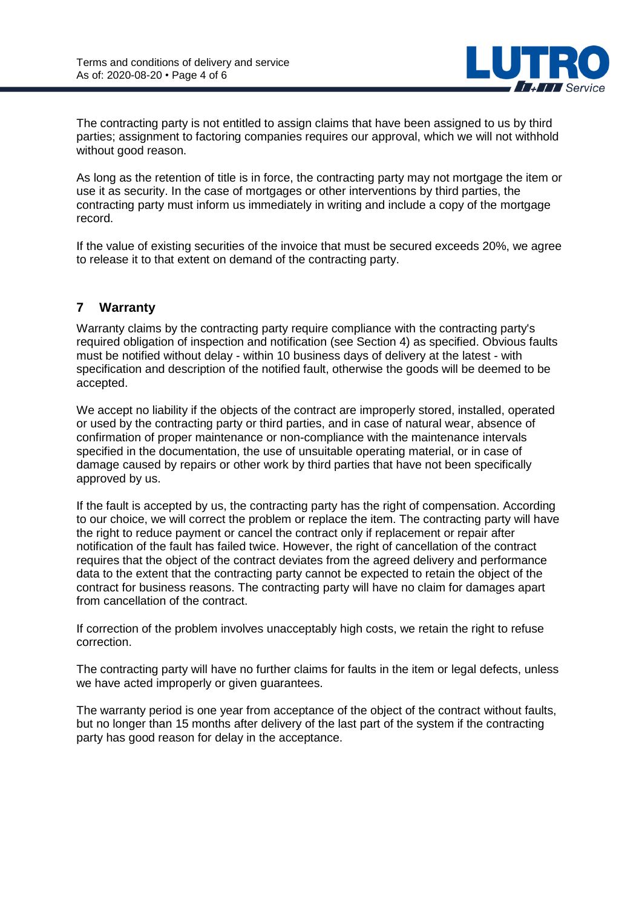

The contracting party is not entitled to assign claims that have been assigned to us by third parties; assignment to factoring companies requires our approval, which we will not withhold without good reason.

As long as the retention of title is in force, the contracting party may not mortgage the item or use it as security. In the case of mortgages or other interventions by third parties, the contracting party must inform us immediately in writing and include a copy of the mortgage record.

If the value of existing securities of the invoice that must be secured exceeds 20%, we agree to release it to that extent on demand of the contracting party.

# **7 Warranty**

Warranty claims by the contracting party require compliance with the contracting party's required obligation of inspection and notification (see Section 4) as specified. Obvious faults must be notified without delay - within 10 business days of delivery at the latest - with specification and description of the notified fault, otherwise the goods will be deemed to be accepted.

We accept no liability if the objects of the contract are improperly stored, installed, operated or used by the contracting party or third parties, and in case of natural wear, absence of confirmation of proper maintenance or non-compliance with the maintenance intervals specified in the documentation, the use of unsuitable operating material, or in case of damage caused by repairs or other work by third parties that have not been specifically approved by us.

If the fault is accepted by us, the contracting party has the right of compensation. According to our choice, we will correct the problem or replace the item. The contracting party will have the right to reduce payment or cancel the contract only if replacement or repair after notification of the fault has failed twice. However, the right of cancellation of the contract requires that the object of the contract deviates from the agreed delivery and performance data to the extent that the contracting party cannot be expected to retain the object of the contract for business reasons. The contracting party will have no claim for damages apart from cancellation of the contract.

If correction of the problem involves unacceptably high costs, we retain the right to refuse correction.

The contracting party will have no further claims for faults in the item or legal defects, unless we have acted improperly or given guarantees.

The warranty period is one year from acceptance of the object of the contract without faults, but no longer than 15 months after delivery of the last part of the system if the contracting party has good reason for delay in the acceptance.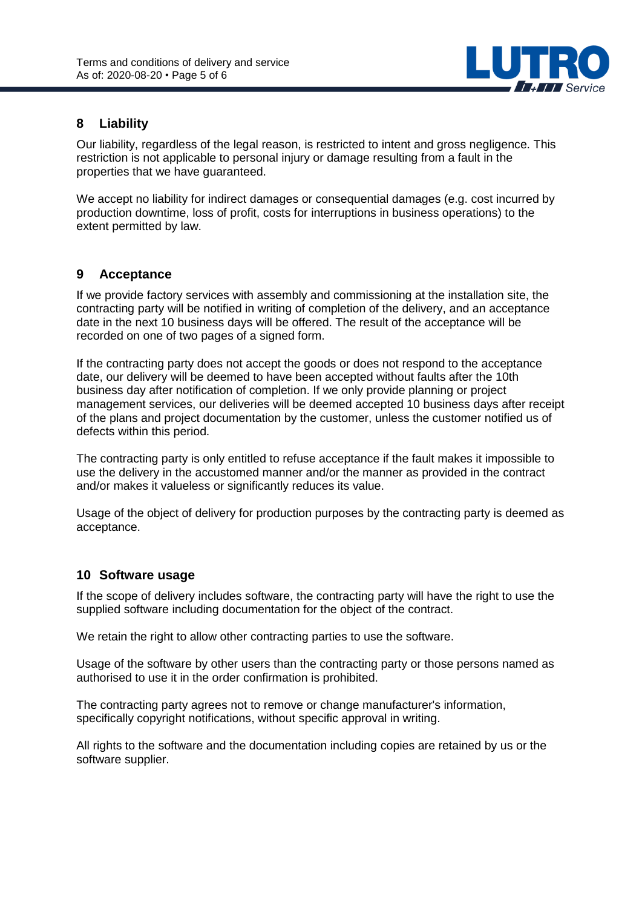

### **8 Liability**

Our liability, regardless of the legal reason, is restricted to intent and gross negligence. This restriction is not applicable to personal injury or damage resulting from a fault in the properties that we have guaranteed.

We accept no liability for indirect damages or consequential damages (e.g. cost incurred by production downtime, loss of profit, costs for interruptions in business operations) to the extent permitted by law.

#### **9 Acceptance**

If we provide factory services with assembly and commissioning at the installation site, the contracting party will be notified in writing of completion of the delivery, and an acceptance date in the next 10 business days will be offered. The result of the acceptance will be recorded on one of two pages of a signed form.

If the contracting party does not accept the goods or does not respond to the acceptance date, our delivery will be deemed to have been accepted without faults after the 10th business day after notification of completion. If we only provide planning or project management services, our deliveries will be deemed accepted 10 business days after receipt of the plans and project documentation by the customer, unless the customer notified us of defects within this period.

The contracting party is only entitled to refuse acceptance if the fault makes it impossible to use the delivery in the accustomed manner and/or the manner as provided in the contract and/or makes it valueless or significantly reduces its value.

Usage of the object of delivery for production purposes by the contracting party is deemed as acceptance.

#### **10 Software usage**

If the scope of delivery includes software, the contracting party will have the right to use the supplied software including documentation for the object of the contract.

We retain the right to allow other contracting parties to use the software.

Usage of the software by other users than the contracting party or those persons named as authorised to use it in the order confirmation is prohibited.

The contracting party agrees not to remove or change manufacturer's information, specifically copyright notifications, without specific approval in writing.

All rights to the software and the documentation including copies are retained by us or the software supplier.